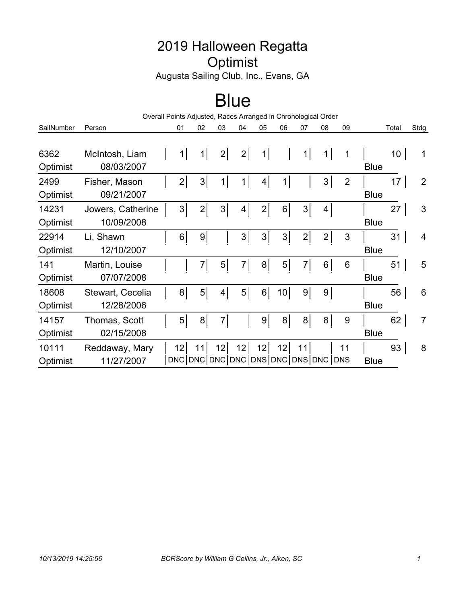## 2019 Halloween Regatta **Optimist**

Augusta Sailing Club, Inc., Evans, GA

## Blue

| Overall Points Adjusted, Races Arranged in Chronological Order |                                 |                                           |                |    |                |                |                 |                |                |                |             |       |                |
|----------------------------------------------------------------|---------------------------------|-------------------------------------------|----------------|----|----------------|----------------|-----------------|----------------|----------------|----------------|-------------|-------|----------------|
| SailNumber                                                     | Person                          | 01                                        | 02             | 03 | 04             | 05             | 06              | 07             | 08             | 09             |             | Total | Stdg           |
| 6362<br>Optimist                                               | McIntosh, Liam<br>08/03/2007    | 1                                         | 1              | 2  | 2              | 1              |                 | 1              | $1\vert$       | 1              | <b>Blue</b> | 10    | 1              |
| 2499<br>Optimist                                               | Fisher, Mason<br>09/21/2007     | 2                                         | 3              |    | 1              | 4              | $\mathbf{1}$    |                | 3              | $\overline{2}$ | <b>Blue</b> | 17    | $\overline{2}$ |
| 14231<br>Optimist                                              | Jowers, Catherine<br>10/09/2008 | 3                                         | 2              | 3  | 4 <sup>1</sup> | $\overline{2}$ | 6               | 3              | 4              |                | <b>Blue</b> | 27    | 3              |
| 22914<br>Optimist                                              | Li, Shawn<br>12/10/2007         | 6 <sup>1</sup>                            | 9 <sub>o</sub> |    | 3 <sup>1</sup> | 3 <sup>1</sup> | 3               | $\overline{2}$ | $\overline{2}$ | 3              | <b>Blue</b> | 31    | $\overline{4}$ |
| 141<br>Optimist                                                | Martin, Louise<br>07/07/2008    |                                           | 7              | 5  | 7              | 8              | 5 <sup>1</sup>  | $\overline{7}$ | 6              | 6              | <b>Blue</b> | 51    | 5              |
| 18608<br>Optimist                                              | Stewart, Cecelia<br>12/28/2006  | 8                                         | 5 <sup>1</sup> | 4  | 5 <sup>1</sup> | 6              | 10 <sup>1</sup> | 9 <sup>1</sup> | 9              |                | <b>Blue</b> | 56    | 6              |
| 14157<br>Optimist                                              | Thomas, Scott<br>02/15/2008     | 5                                         | 8              | 7  |                | 9              | 8               | 8              | 8              | 9              | <b>Blue</b> | 62    | $\overline{7}$ |
| 10111<br>Optimist                                              | Reddaway, Mary<br>11/27/2007    | 12<br>DNC DNC DNC DNC DNS DNC DNS DNC DNS | 11             | 12 | 12             | 12             | 12              | 11             |                | 11             | <b>Blue</b> | 93    | 8              |